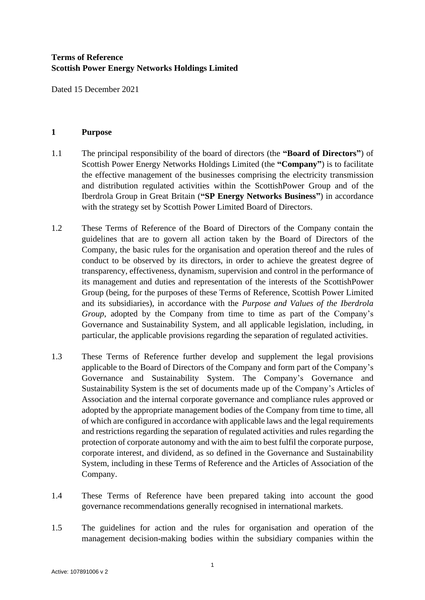# **Terms of Reference Scottish Power Energy Networks Holdings Limited**

Dated 15 December 2021

#### **1 Purpose**

- 1.1 The principal responsibility of the board of directors (the **"Board of Directors"**) of Scottish Power Energy Networks Holdings Limited (the **"Company"**) is to facilitate the effective management of the businesses comprising the electricity transmission and distribution regulated activities within the ScottishPower Group and of the Iberdrola Group in Great Britain (**"SP Energy Networks Business"**) in accordance with the strategy set by Scottish Power Limited Board of Directors.
- 1.2 These Terms of Reference of the Board of Directors of the Company contain the guidelines that are to govern all action taken by the Board of Directors of the Company, the basic rules for the organisation and operation thereof and the rules of conduct to be observed by its directors, in order to achieve the greatest degree of transparency, effectiveness, dynamism, supervision and control in the performance of its management and duties and representation of the interests of the ScottishPower Group (being, for the purposes of these Terms of Reference, Scottish Power Limited and its subsidiaries), in accordance with the *Purpose and Values of the Iberdrola Group*, adopted by the Company from time to time as part of the Company's Governance and Sustainability System, and all applicable legislation, including, in particular, the applicable provisions regarding the separation of regulated activities.
- 1.3 These Terms of Reference further develop and supplement the legal provisions applicable to the Board of Directors of the Company and form part of the Company's Governance and Sustainability System. The Company's Governance and Sustainability System is the set of documents made up of the Company's Articles of Association and the internal corporate governance and compliance rules approved or adopted by the appropriate management bodies of the Company from time to time, all of which are configured in accordance with applicable laws and the legal requirements and restrictions regarding the separation of regulated activities and rules regarding the protection of corporate autonomy and with the aim to best fulfil the corporate purpose, corporate interest, and dividend, as so defined in the Governance and Sustainability System, including in these Terms of Reference and the Articles of Association of the Company.
- 1.4 These Terms of Reference have been prepared taking into account the good governance recommendations generally recognised in international markets.
- 1.5 The guidelines for action and the rules for organisation and operation of the management decision-making bodies within the subsidiary companies within the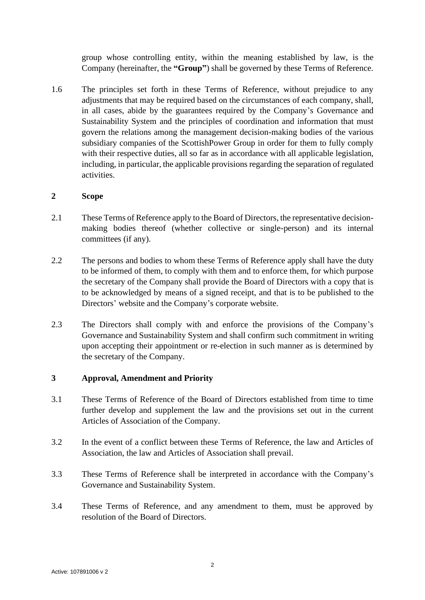group whose controlling entity, within the meaning established by law, is the Company (hereinafter, the **"Group"**) shall be governed by these Terms of Reference.

1.6 The principles set forth in these Terms of Reference, without prejudice to any adjustments that may be required based on the circumstances of each company, shall, in all cases, abide by the guarantees required by the Company's Governance and Sustainability System and the principles of coordination and information that must govern the relations among the management decision-making bodies of the various subsidiary companies of the ScottishPower Group in order for them to fully comply with their respective duties, all so far as in accordance with all applicable legislation, including, in particular, the applicable provisions regarding the separation of regulated activities.

## **2 Scope**

- 2.1 These Terms of Reference apply to the Board of Directors, the representative decisionmaking bodies thereof (whether collective or single-person) and its internal committees (if any).
- 2.2 The persons and bodies to whom these Terms of Reference apply shall have the duty to be informed of them, to comply with them and to enforce them, for which purpose the secretary of the Company shall provide the Board of Directors with a copy that is to be acknowledged by means of a signed receipt, and that is to be published to the Directors' website and the Company's corporate website.
- 2.3 The Directors shall comply with and enforce the provisions of the Company's Governance and Sustainability System and shall confirm such commitment in writing upon accepting their appointment or re-election in such manner as is determined by the secretary of the Company.

### **3 Approval, Amendment and Priority**

- 3.1 These Terms of Reference of the Board of Directors established from time to time further develop and supplement the law and the provisions set out in the current Articles of Association of the Company.
- 3.2 In the event of a conflict between these Terms of Reference, the law and Articles of Association, the law and Articles of Association shall prevail.
- 3.3 These Terms of Reference shall be interpreted in accordance with the Company's Governance and Sustainability System.
- 3.4 These Terms of Reference, and any amendment to them, must be approved by resolution of the Board of Directors.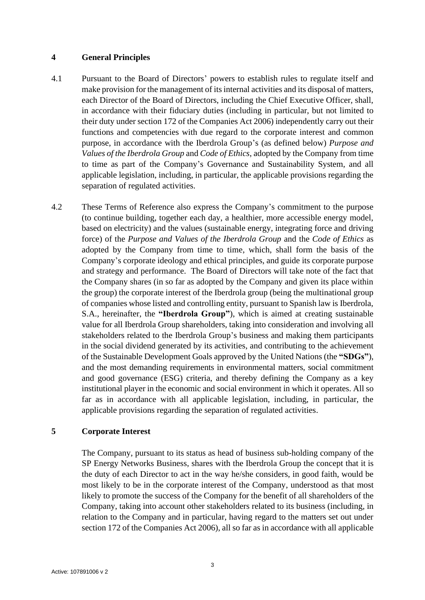#### **4 General Principles**

- 4.1 Pursuant to the Board of Directors' powers to establish rules to regulate itself and make provision for the management of its internal activities and its disposal of matters, each Director of the Board of Directors, including the Chief Executive Officer, shall, in accordance with their fiduciary duties (including in particular, but not limited to their duty under section 172 of the Companies Act 2006) independently carry out their functions and competencies with due regard to the corporate interest and common purpose, in accordance with the Iberdrola Group's (as defined below) *Purpose and Values of the Iberdrola Group* and *Code of Ethics*, adopted by the Company from time to time as part of the Company's Governance and Sustainability System, and all applicable legislation, including, in particular, the applicable provisions regarding the separation of regulated activities.
- 4.2 These Terms of Reference also express the Company's commitment to the purpose (to continue building, together each day, a healthier, more accessible energy model, based on electricity) and the values (sustainable energy, integrating force and driving force) of the *Purpose and Values of the Iberdrola Group* and the *Code of Ethics* as adopted by the Company from time to time, which, shall form the basis of the Company's corporate ideology and ethical principles, and guide its corporate purpose and strategy and performance. The Board of Directors will take note of the fact that the Company shares (in so far as adopted by the Company and given its place within the group) the corporate interest of the Iberdrola group (being the multinational group of companies whose listed and controlling entity, pursuant to Spanish law is Iberdrola, S.A., hereinafter, the **"Iberdrola Group"**), which is aimed at creating sustainable value for all Iberdrola Group shareholders, taking into consideration and involving all stakeholders related to the Iberdrola Group's business and making them participants in the social dividend generated by its activities, and contributing to the achievement of the Sustainable Development Goals approved by the United Nations (the **"SDGs"**), and the most demanding requirements in environmental matters, social commitment and good governance (ESG) criteria, and thereby defining the Company as a key institutional player in the economic and social environment in which it operates. All so far as in accordance with all applicable legislation, including, in particular, the applicable provisions regarding the separation of regulated activities.

### **5 Corporate Interest**

The Company, pursuant to its status as head of business sub-holding company of the SP Energy Networks Business, shares with the Iberdrola Group the concept that it is the duty of each Director to act in the way he/she considers, in good faith, would be most likely to be in the corporate interest of the Company, understood as that most likely to promote the success of the Company for the benefit of all shareholders of the Company, taking into account other stakeholders related to its business (including, in relation to the Company and in particular, having regard to the matters set out under section 172 of the Companies Act 2006), all so far as in accordance with all applicable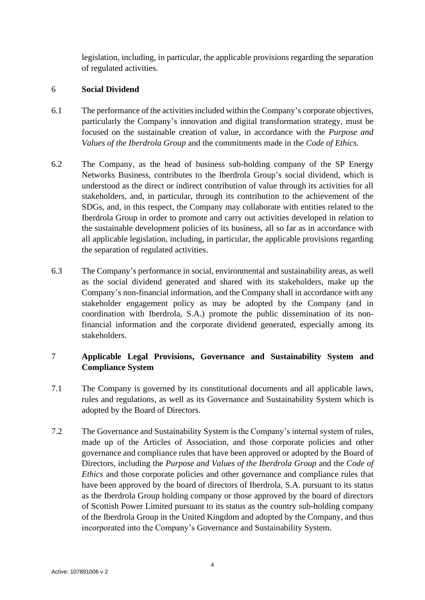legislation, including, in particular, the applicable provisions regarding the separation of regulated activities.

### 6 **Social Dividend**

- 6.1 The performance of the activities included within the Company's corporate objectives, particularly the Company's innovation and digital transformation strategy, must be focused on the sustainable creation of value, in accordance with the *Purpose and Values of the Iberdrola Group* and the commitments made in the *Code of Ethics*.
- 6.2 The Company, as the head of business sub-holding company of the SP Energy Networks Business, contributes to the Iberdrola Group's social dividend, which is understood as the direct or indirect contribution of value through its activities for all stakeholders, and, in particular, through its contribution to the achievement of the SDGs, and, in this respect, the Company may collaborate with entities related to the Iberdrola Group in order to promote and carry out activities developed in relation to the sustainable development policies of its business, all so far as in accordance with all applicable legislation, including, in particular, the applicable provisions regarding the separation of regulated activities.
- 6.3 The Company's performance in social, environmental and sustainability areas, as well as the social dividend generated and shared with its stakeholders, make up the Company's non-financial information, and the Company shall in accordance with any stakeholder engagement policy as may be adopted by the Company (and in coordination with Iberdrola, S.A.) promote the public dissemination of its nonfinancial information and the corporate dividend generated, especially among its stakeholders.

# 7 **Applicable Legal Provisions, Governance and Sustainability System and Compliance System**

- 7.1 The Company is governed by its constitutional documents and all applicable laws, rules and regulations, as well as its Governance and Sustainability System which is adopted by the Board of Directors.
- 7.2 The Governance and Sustainability System is the Company's internal system of rules, made up of the Articles of Association, and those corporate policies and other governance and compliance rules that have been approved or adopted by the Board of Directors, including the *Purpose and Values of the Iberdrola Group* and the *Code of Ethics* and those corporate policies and other governance and compliance rules that have been approved by the board of directors of Iberdrola, S.A. pursuant to its status as the Iberdrola Group holding company or those approved by the board of directors of Scottish Power Limited pursuant to its status as the country sub-holding company of the Iberdrola Group in the United Kingdom and adopted by the Company, and thus incorporated into the Company's Governance and Sustainability System.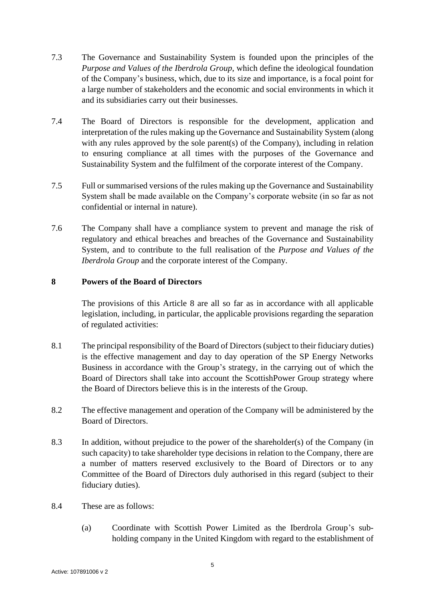- 7.3 The Governance and Sustainability System is founded upon the principles of the *Purpose and Values of the Iberdrola Group*, which define the ideological foundation of the Company's business, which, due to its size and importance, is a focal point for a large number of stakeholders and the economic and social environments in which it and its subsidiaries carry out their businesses.
- 7.4 The Board of Directors is responsible for the development, application and interpretation of the rules making up the Governance and Sustainability System (along with any rules approved by the sole parent(s) of the Company), including in relation to ensuring compliance at all times with the purposes of the Governance and Sustainability System and the fulfilment of the corporate interest of the Company.
- 7.5 Full or summarised versions of the rules making up the Governance and Sustainability System shall be made available on the Company's corporate website (in so far as not confidential or internal in nature).
- 7.6 The Company shall have a compliance system to prevent and manage the risk of regulatory and ethical breaches and breaches of the Governance and Sustainability System, and to contribute to the full realisation of the *Purpose and Values of the Iberdrola Group* and the corporate interest of the Company.

## <span id="page-4-0"></span>**8 Powers of the Board of Directors**

The provisions of this Article [8](#page-4-0) are all so far as in accordance with all applicable legislation, including, in particular, the applicable provisions regarding the separation of regulated activities:

- 8.1 The principal responsibility of the Board of Directors (subject to their fiduciary duties) is the effective management and day to day operation of the SP Energy Networks Business in accordance with the Group's strategy, in the carrying out of which the Board of Directors shall take into account the ScottishPower Group strategy where the Board of Directors believe this is in the interests of the Group.
- 8.2 The effective management and operation of the Company will be administered by the Board of Directors.
- 8.3 In addition, without prejudice to the power of the shareholder(s) of the Company (in such capacity) to take shareholder type decisions in relation to the Company, there are a number of matters reserved exclusively to the Board of Directors or to any Committee of the Board of Directors duly authorised in this regard (subject to their fiduciary duties).
- 8.4 These are as follows:
	- (a) Coordinate with Scottish Power Limited as the Iberdrola Group's subholding company in the United Kingdom with regard to the establishment of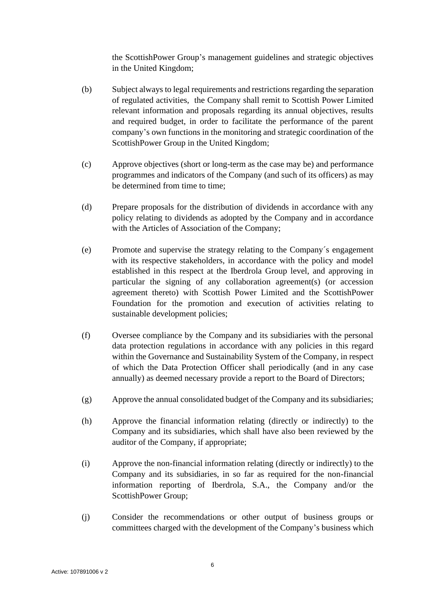the ScottishPower Group's management guidelines and strategic objectives in the United Kingdom;

- (b) Subject always to legal requirements and restrictions regarding the separation of regulated activities, the Company shall remit to Scottish Power Limited relevant information and proposals regarding its annual objectives, results and required budget, in order to facilitate the performance of the parent company's own functions in the monitoring and strategic coordination of the ScottishPower Group in the United Kingdom;
- (c) Approve objectives (short or long-term as the case may be) and performance programmes and indicators of the Company (and such of its officers) as may be determined from time to time;
- (d) Prepare proposals for the distribution of dividends in accordance with any policy relating to dividends as adopted by the Company and in accordance with the Articles of Association of the Company;
- (e) Promote and supervise the strategy relating to the Company´s engagement with its respective stakeholders, in accordance with the policy and model established in this respect at the Iberdrola Group level, and approving in particular the signing of any collaboration agreement(s) (or accession agreement thereto) with Scottish Power Limited and the ScottishPower Foundation for the promotion and execution of activities relating to sustainable development policies;
- (f) Oversee compliance by the Company and its subsidiaries with the personal data protection regulations in accordance with any policies in this regard within the Governance and Sustainability System of the Company, in respect of which the Data Protection Officer shall periodically (and in any case annually) as deemed necessary provide a report to the Board of Directors;
- (g) Approve the annual consolidated budget of the Company and its subsidiaries;
- (h) Approve the financial information relating (directly or indirectly) to the Company and its subsidiaries, which shall have also been reviewed by the auditor of the Company, if appropriate;
- (i) Approve the non-financial information relating (directly or indirectly) to the Company and its subsidiaries, in so far as required for the non-financial information reporting of Iberdrola, S.A., the Company and/or the ScottishPower Group;
- (j) Consider the recommendations or other output of business groups or committees charged with the development of the Company's business which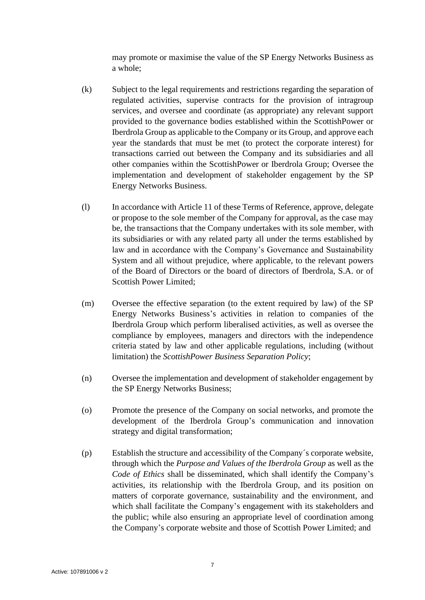may promote or maximise the value of the SP Energy Networks Business as a whole;

- (k) Subject to the legal requirements and restrictions regarding the separation of regulated activities, supervise contracts for the provision of intragroup services, and oversee and coordinate (as appropriate) any relevant support provided to the governance bodies established within the ScottishPower or Iberdrola Group as applicable to the Company or its Group, and approve each year the standards that must be met (to protect the corporate interest) for transactions carried out between the Company and its subsidiaries and all other companies within the ScottishPower or Iberdrola Group; Oversee the implementation and development of stakeholder engagement by the SP Energy Networks Business.
- (l) In accordance with Article 11 of these Terms of Reference, approve, delegate or propose to the sole member of the Company for approval, as the case may be, the transactions that the Company undertakes with its sole member, with its subsidiaries or with any related party all under the terms established by law and in accordance with the Company's Governance and Sustainability System and all without prejudice, where applicable, to the relevant powers of the Board of Directors or the board of directors of Iberdrola, S.A. or of Scottish Power Limited;
- (m) Oversee the effective separation (to the extent required by law) of the SP Energy Networks Business's activities in relation to companies of the Iberdrola Group which perform liberalised activities, as well as oversee the compliance by employees, managers and directors with the independence criteria stated by law and other applicable regulations, including (without limitation) the *ScottishPower Business Separation Policy*;
- (n) Oversee the implementation and development of stakeholder engagement by the SP Energy Networks Business;
- (o) Promote the presence of the Company on social networks, and promote the development of the Iberdrola Group's communication and innovation strategy and digital transformation;
- (p) Establish the structure and accessibility of the Company´s corporate website, through which the *Purpose and Values of the Iberdrola Group* as well as the *Code of Ethics* shall be disseminated, which shall identify the Company's activities, its relationship with the Iberdrola Group, and its position on matters of corporate governance, sustainability and the environment, and which shall facilitate the Company's engagement with its stakeholders and the public; while also ensuring an appropriate level of coordination among the Company's corporate website and those of Scottish Power Limited; and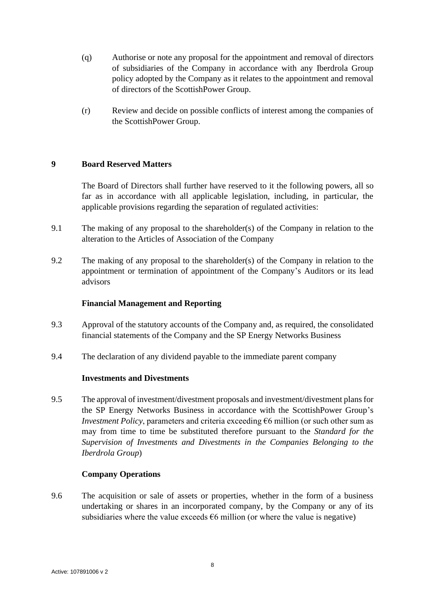- (q) Authorise or note any proposal for the appointment and removal of directors of subsidiaries of the Company in accordance with any Iberdrola Group policy adopted by the Company as it relates to the appointment and removal of directors of the ScottishPower Group.
- (r) Review and decide on possible conflicts of interest among the companies of the ScottishPower Group.

## **9 Board Reserved Matters**

The Board of Directors shall further have reserved to it the following powers, all so far as in accordance with all applicable legislation, including, in particular, the applicable provisions regarding the separation of regulated activities:

- 9.1 The making of any proposal to the shareholder(s) of the Company in relation to the alteration to the Articles of Association of the Company
- 9.2 The making of any proposal to the shareholder(s) of the Company in relation to the appointment or termination of appointment of the Company's Auditors or its lead advisors

## **Financial Management and Reporting**

- 9.3 Approval of the statutory accounts of the Company and, as required, the consolidated financial statements of the Company and the SP Energy Networks Business
- 9.4 The declaration of any dividend payable to the immediate parent company

### **Investments and Divestments**

9.5 The approval of investment/divestment proposals and investment/divestment plans for the SP Energy Networks Business in accordance with the ScottishPower Group's *Investment Policy*, parameters and criteria exceeding €6 million (or such other sum as may from time to time be substituted therefore pursuant to the *Standard for the Supervision of Investments and Divestments in the Companies Belonging to the Iberdrola Group*)

## **Company Operations**

9.6 The acquisition or sale of assets or properties, whether in the form of a business undertaking or shares in an incorporated company, by the Company or any of its subsidiaries where the value exceeds  $\epsilon$ 6 million (or where the value is negative)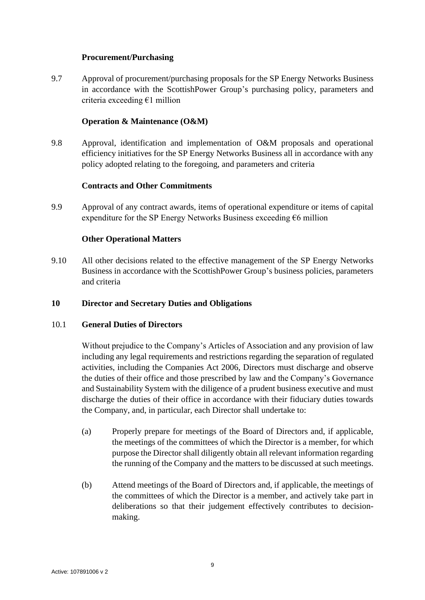## **Procurement/Purchasing**

9.7 Approval of procurement/purchasing proposals for the SP Energy Networks Business in accordance with the ScottishPower Group's purchasing policy, parameters and criteria exceeding €1 million

## **Operation & Maintenance (O&M)**

9.8 Approval, identification and implementation of O&M proposals and operational efficiency initiatives for the SP Energy Networks Business all in accordance with any policy adopted relating to the foregoing, and parameters and criteria

## **Contracts and Other Commitments**

9.9 Approval of any contract awards, items of operational expenditure or items of capital expenditure for the SP Energy Networks Business exceeding  $\epsilon$ 6 million

## **Other Operational Matters**

9.10 All other decisions related to the effective management of the SP Energy Networks Business in accordance with the ScottishPower Group's business policies, parameters and criteria

### **10 Director and Secretary Duties and Obligations**

### 10.1 **General Duties of Directors**

Without prejudice to the Company's Articles of Association and any provision of law including any legal requirements and restrictions regarding the separation of regulated activities, including the Companies Act 2006, Directors must discharge and observe the duties of their office and those prescribed by law and the Company's Governance and Sustainability System with the diligence of a prudent business executive and must discharge the duties of their office in accordance with their fiduciary duties towards the Company, and, in particular, each Director shall undertake to:

- (a) Properly prepare for meetings of the Board of Directors and, if applicable, the meetings of the committees of which the Director is a member, for which purpose the Director shall diligently obtain all relevant information regarding the running of the Company and the matters to be discussed at such meetings.
- (b) Attend meetings of the Board of Directors and, if applicable, the meetings of the committees of which the Director is a member, and actively take part in deliberations so that their judgement effectively contributes to decisionmaking.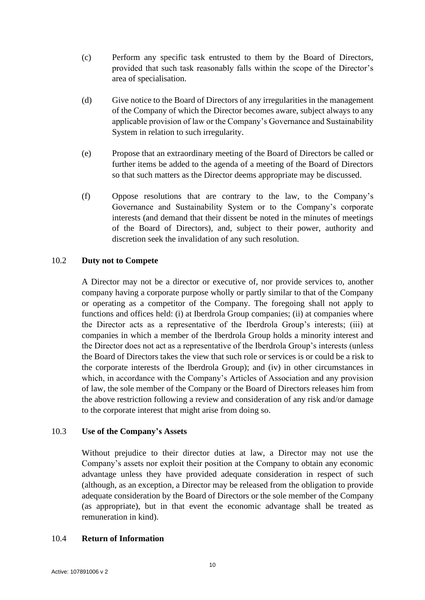- (c) Perform any specific task entrusted to them by the Board of Directors, provided that such task reasonably falls within the scope of the Director's area of specialisation.
- (d) Give notice to the Board of Directors of any irregularities in the management of the Company of which the Director becomes aware, subject always to any applicable provision of law or the Company's Governance and Sustainability System in relation to such irregularity.
- (e) Propose that an extraordinary meeting of the Board of Directors be called or further items be added to the agenda of a meeting of the Board of Directors so that such matters as the Director deems appropriate may be discussed.
- (f) Oppose resolutions that are contrary to the law, to the Company's Governance and Sustainability System or to the Company's corporate interests (and demand that their dissent be noted in the minutes of meetings of the Board of Directors), and, subject to their power, authority and discretion seek the invalidation of any such resolution.

### 10.2 **Duty not to Compete**

A Director may not be a director or executive of, nor provide services to, another company having a corporate purpose wholly or partly similar to that of the Company or operating as a competitor of the Company. The foregoing shall not apply to functions and offices held: (i) at Iberdrola Group companies; (ii) at companies where the Director acts as a representative of the Iberdrola Group's interests; (iii) at companies in which a member of the Iberdrola Group holds a minority interest and the Director does not act as a representative of the Iberdrola Group's interests (unless the Board of Directors takes the view that such role or services is or could be a risk to the corporate interests of the Iberdrola Group); and (iv) in other circumstances in which, in accordance with the Company's Articles of Association and any provision of law, the sole member of the Company or the Board of Directors releases him from the above restriction following a review and consideration of any risk and/or damage to the corporate interest that might arise from doing so.

## 10.3 **Use of the Company's Assets**

Without prejudice to their director duties at law, a Director may not use the Company's assets nor exploit their position at the Company to obtain any economic advantage unless they have provided adequate consideration in respect of such (although, as an exception, a Director may be released from the obligation to provide adequate consideration by the Board of Directors or the sole member of the Company (as appropriate), but in that event the economic advantage shall be treated as remuneration in kind).

### 10.4 **Return of Information**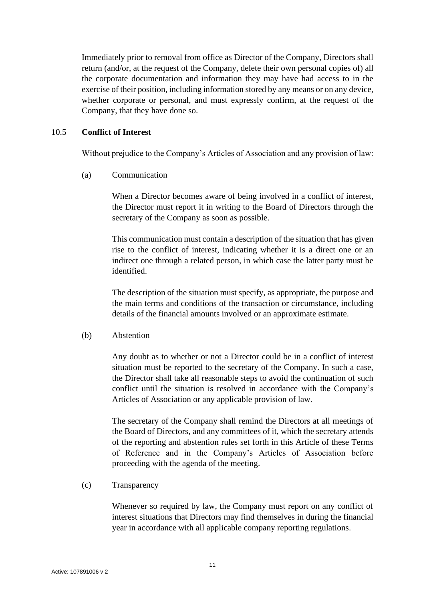Immediately prior to removal from office as Director of the Company, Directors shall return (and/or, at the request of the Company, delete their own personal copies of) all the corporate documentation and information they may have had access to in the exercise of their position, including information stored by any means or on any device, whether corporate or personal, and must expressly confirm, at the request of the Company, that they have done so.

### 10.5 **Conflict of Interest**

Without prejudice to the Company's Articles of Association and any provision of law:

(a) Communication

When a Director becomes aware of being involved in a conflict of interest, the Director must report it in writing to the Board of Directors through the secretary of the Company as soon as possible.

This communication must contain a description of the situation that has given rise to the conflict of interest, indicating whether it is a direct one or an indirect one through a related person, in which case the latter party must be identified.

The description of the situation must specify, as appropriate, the purpose and the main terms and conditions of the transaction or circumstance, including details of the financial amounts involved or an approximate estimate.

### (b) Abstention

Any doubt as to whether or not a Director could be in a conflict of interest situation must be reported to the secretary of the Company. In such a case, the Director shall take all reasonable steps to avoid the continuation of such conflict until the situation is resolved in accordance with the Company's Articles of Association or any applicable provision of law.

The secretary of the Company shall remind the Directors at all meetings of the Board of Directors, and any committees of it, which the secretary attends of the reporting and abstention rules set forth in this Article of these Terms of Reference and in the Company's Articles of Association before proceeding with the agenda of the meeting.

(c) Transparency

Whenever so required by law, the Company must report on any conflict of interest situations that Directors may find themselves in during the financial year in accordance with all applicable company reporting regulations.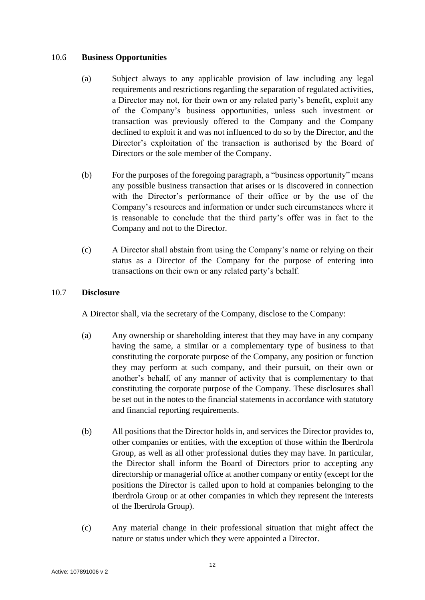## 10.6 **Business Opportunities**

- (a) Subject always to any applicable provision of law including any legal requirements and restrictions regarding the separation of regulated activities, a Director may not, for their own or any related party's benefit, exploit any of the Company's business opportunities, unless such investment or transaction was previously offered to the Company and the Company declined to exploit it and was not influenced to do so by the Director, and the Director's exploitation of the transaction is authorised by the Board of Directors or the sole member of the Company.
- (b) For the purposes of the foregoing paragraph, a "business opportunity" means any possible business transaction that arises or is discovered in connection with the Director's performance of their office or by the use of the Company's resources and information or under such circumstances where it is reasonable to conclude that the third party's offer was in fact to the Company and not to the Director.
- (c) A Director shall abstain from using the Company's name or relying on their status as a Director of the Company for the purpose of entering into transactions on their own or any related party's behalf.

## 10.7 **Disclosure**

A Director shall, via the secretary of the Company, disclose to the Company:

- (a) Any ownership or shareholding interest that they may have in any company having the same, a similar or a complementary type of business to that constituting the corporate purpose of the Company, any position or function they may perform at such company, and their pursuit, on their own or another's behalf, of any manner of activity that is complementary to that constituting the corporate purpose of the Company. These disclosures shall be set out in the notes to the financial statements in accordance with statutory and financial reporting requirements.
- (b) All positions that the Director holds in, and services the Director provides to, other companies or entities, with the exception of those within the Iberdrola Group, as well as all other professional duties they may have. In particular, the Director shall inform the Board of Directors prior to accepting any directorship or managerial office at another company or entity (except for the positions the Director is called upon to hold at companies belonging to the Iberdrola Group or at other companies in which they represent the interests of the Iberdrola Group).
- (c) Any material change in their professional situation that might affect the nature or status under which they were appointed a Director.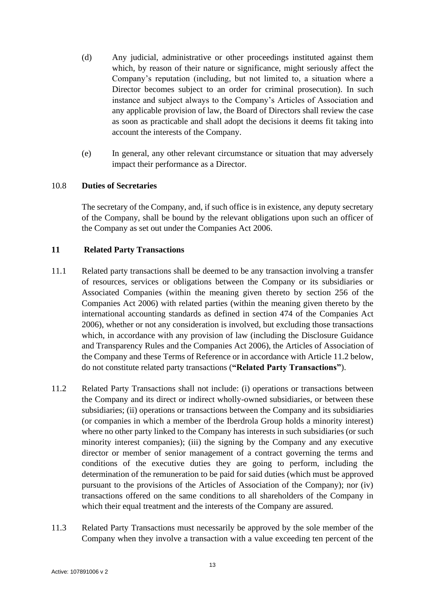- (d) Any judicial, administrative or other proceedings instituted against them which, by reason of their nature or significance, might seriously affect the Company's reputation (including, but not limited to, a situation where a Director becomes subject to an order for criminal prosecution). In such instance and subject always to the Company's Articles of Association and any applicable provision of law, the Board of Directors shall review the case as soon as practicable and shall adopt the decisions it deems fit taking into account the interests of the Company.
- (e) In general, any other relevant circumstance or situation that may adversely impact their performance as a Director.

### 10.8 **Duties of Secretaries**

The secretary of the Company, and, if such office is in existence, any deputy secretary of the Company, shall be bound by the relevant obligations upon such an officer of the Company as set out under the Companies Act 2006.

#### **11 Related Party Transactions**

- 11.1 Related party transactions shall be deemed to be any transaction involving a transfer of resources, services or obligations between the Company or its subsidiaries or Associated Companies (within the meaning given thereto by section 256 of the Companies Act 2006) with related parties (within the meaning given thereto by the international accounting standards as defined in section 474 of the Companies Act 2006), whether or not any consideration is involved, but excluding those transactions which, in accordance with any provision of law (including the Disclosure Guidance and Transparency Rules and the Companies Act 2006), the Articles of Association of the Company and these Terms of Reference or in accordance with Article 11.2 below, do not constitute related party transactions (**"Related Party Transactions"**).
- 11.2 Related Party Transactions shall not include: (i) operations or transactions between the Company and its direct or indirect wholly-owned subsidiaries, or between these subsidiaries; (ii) operations or transactions between the Company and its subsidiaries (or companies in which a member of the Iberdrola Group holds a minority interest) where no other party linked to the Company has interests in such subsidiaries (or such minority interest companies); (iii) the signing by the Company and any executive director or member of senior management of a contract governing the terms and conditions of the executive duties they are going to perform, including the determination of the remuneration to be paid for said duties (which must be approved pursuant to the provisions of the Articles of Association of the Company); nor (iv) transactions offered on the same conditions to all shareholders of the Company in which their equal treatment and the interests of the Company are assured.
- 11.3 Related Party Transactions must necessarily be approved by the sole member of the Company when they involve a transaction with a value exceeding ten percent of the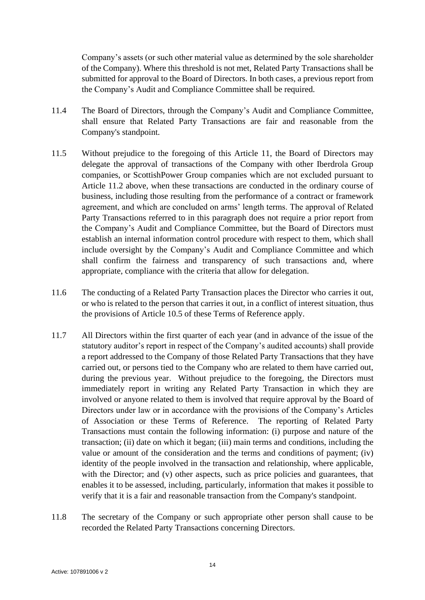Company's assets (or such other material value as determined by the sole shareholder of the Company). Where this threshold is not met, Related Party Transactions shall be submitted for approval to the Board of Directors. In both cases, a previous report from the Company's Audit and Compliance Committee shall be required.

- 11.4 The Board of Directors, through the Company's Audit and Compliance Committee, shall ensure that Related Party Transactions are fair and reasonable from the Company's standpoint.
- 11.5 Without prejudice to the foregoing of this Article 11, the Board of Directors may delegate the approval of transactions of the Company with other Iberdrola Group companies, or ScottishPower Group companies which are not excluded pursuant to Article 11.2 above, when these transactions are conducted in the ordinary course of business, including those resulting from the performance of a contract or framework agreement, and which are concluded on arms' length terms. The approval of Related Party Transactions referred to in this paragraph does not require a prior report from the Company's Audit and Compliance Committee, but the Board of Directors must establish an internal information control procedure with respect to them, which shall include oversight by the Company's Audit and Compliance Committee and which shall confirm the fairness and transparency of such transactions and, where appropriate, compliance with the criteria that allow for delegation.
- 11.6 The conducting of a Related Party Transaction places the Director who carries it out, or who is related to the person that carries it out, in a conflict of interest situation, thus the provisions of Article 10.5 of these Terms of Reference apply.
- 11.7 All Directors within the first quarter of each year (and in advance of the issue of the statutory auditor's report in respect of the Company's audited accounts) shall provide a report addressed to the Company of those Related Party Transactions that they have carried out, or persons tied to the Company who are related to them have carried out, during the previous year. Without prejudice to the foregoing, the Directors must immediately report in writing any Related Party Transaction in which they are involved or anyone related to them is involved that require approval by the Board of Directors under law or in accordance with the provisions of the Company's Articles of Association or these Terms of Reference. The reporting of Related Party Transactions must contain the following information: (i) purpose and nature of the transaction; (ii) date on which it began; (iii) main terms and conditions, including the value or amount of the consideration and the terms and conditions of payment; (iv) identity of the people involved in the transaction and relationship, where applicable, with the Director; and (v) other aspects, such as price policies and guarantees, that enables it to be assessed, including, particularly, information that makes it possible to verify that it is a fair and reasonable transaction from the Company's standpoint.
- 11.8 The secretary of the Company or such appropriate other person shall cause to be recorded the Related Party Transactions concerning Directors.